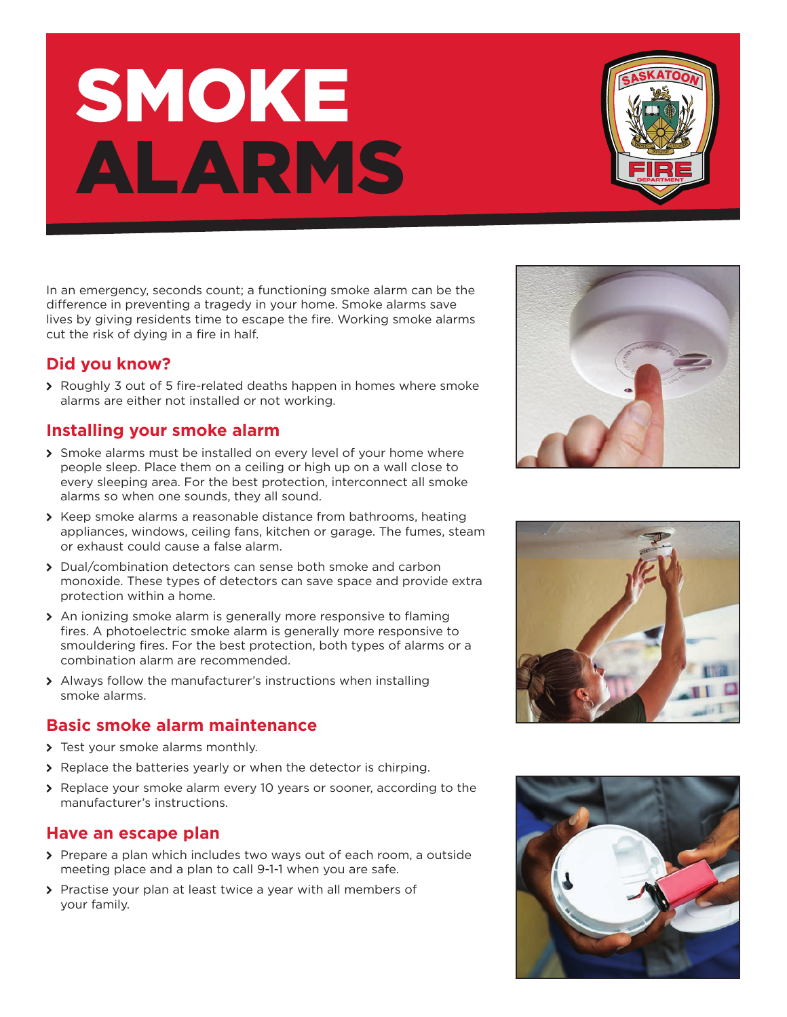# SMOKE ALARMS

In an emergency, seconds count; a functioning smoke alarm can be the difference in preventing a tragedy in your home. Smoke alarms save lives by giving residents time to escape the fire. Working smoke alarms cut the risk of dying in a fire in half.

# **Did you know?**

▶ Roughly 3 out of 5 fire-related deaths happen in homes where smoke alarms are either not installed or not working.

# **Installing your smoke alarm**

- > Smoke alarms must be installed on every level of your home where people sleep. Place them on a ceiling or high up on a wall close to every sleeping area. For the best protection, interconnect all smoke alarms so when one sounds, they all sound.
- > Keep smoke alarms a reasonable distance from bathrooms, heating appliances, windows, ceiling fans, kitchen or garage. The fumes, steam or exhaust could cause a false alarm.
- � Dual/combination detectors can sense both smoke and carbon monoxide. These types of detectors can save space and provide extra protection within a home.
- � An ionizing smoke alarm is generally more responsive to flaming fires. A photoelectric smoke alarm is generally more responsive to smouldering fires. For the best protection, both types of alarms or a combination alarm are recommended.
- > Always follow the manufacturer's instructions when installing smoke alarms.

## **Basic smoke alarm maintenance**

- > Test your smoke alarms monthly.
- > Replace the batteries yearly or when the detector is chirping.
- ◆ Replace your smoke alarm every 10 years or sooner, according to the manufacturer's instructions.

## **Have an escape plan**

- > Prepare a plan which includes two ways out of each room, a outside meeting place and a plan to call 9-1-1 when you are safe.
- > Practise your plan at least twice a year with all members of your family.